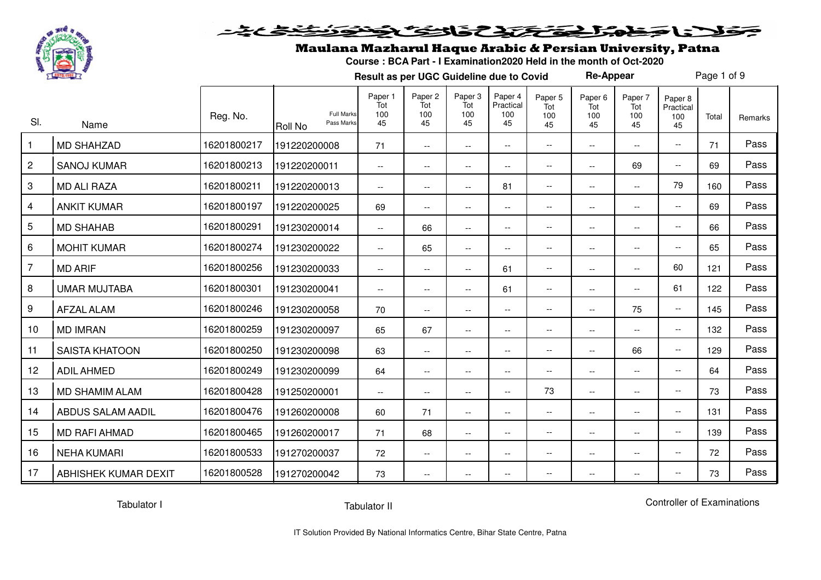

## خلانا حَظِمْرٌ فِيَحْتَمَدِّعْ فَاتْتِكَ بِمُخْتَوَنَتَفِيْحَاجُهُ

#### Maulana Mazharul Haque Arabic & Persian University, Patna

**Course : BCA Part - I Examination2020 Held in the month of Oct-2020**

**Result as per UGC Guideline due to Covid**

Page 1 of 9

**Re-Appear**

| SI.            | Name                  | Reg. No.    | Roll No      | <b>Full Marks</b><br>Pass Marks | Paper 1<br>Tot<br>100<br>45 | Paper 2<br>Tot<br>100<br>45                   | Paper 3<br>Tot<br>100<br>45 | Paper 4<br>Practical<br>100<br>45 | Paper 5<br>Tot<br>100<br>45 | Paper <sub>6</sub><br>Tot<br>100<br>45 | Paper 7<br>Tot<br>100<br>45 | Paper 8<br>Practical<br>100<br>45 | Total | Remarks |
|----------------|-----------------------|-------------|--------------|---------------------------------|-----------------------------|-----------------------------------------------|-----------------------------|-----------------------------------|-----------------------------|----------------------------------------|-----------------------------|-----------------------------------|-------|---------|
| $\mathbf{1}$   | <b>MD SHAHZAD</b>     | 16201800217 | 191220200008 |                                 | 71                          | $\mathord{\hspace{1pt}\text{--}\hspace{1pt}}$ | $\overline{\phantom{a}}$    | $\overline{\phantom{a}}$          | $\overline{\phantom{a}}$    | $\overline{\phantom{a}}$               | $ -$                        | $\overline{\phantom{a}}$          | 71    | Pass    |
| $\mathbf{2}$   | <b>SANOJ KUMAR</b>    | 16201800213 | 191220200011 |                                 | $\overline{\phantom{a}}$    | $- -$                                         | $\overline{\phantom{a}}$    | --                                | $\overline{\phantom{a}}$    | $\overline{\phantom{a}}$               | 69                          | $\overline{\phantom{a}}$          | 69    | Pass    |
| 3              | <b>MD ALI RAZA</b>    | 16201800211 | 191220200013 |                                 | $\overline{\phantom{a}}$    | $\overline{\phantom{m}}$                      | $\overline{\phantom{m}}$    | 81                                | $\overline{\phantom{m}}$    | $\overline{\phantom{m}}$               | $\overline{\phantom{a}}$    | 79                                | 160   | Pass    |
| $\overline{4}$ | <b>ANKIT KUMAR</b>    | 16201800197 | 191220200025 |                                 | 69                          | $- -$                                         | $\overline{\phantom{a}}$    | $\overline{\phantom{a}}$          | $\overline{\phantom{a}}$    | $\overline{\phantom{a}}$               | $ -$                        | $\overline{\phantom{a}}$          | 69    | Pass    |
| 5              | <b>MD SHAHAB</b>      | 16201800291 | 191230200014 |                                 | $\overline{\phantom{a}}$    | 66                                            | $\overline{\phantom{a}}$    | --                                | $\overline{\phantom{m}}$    | $\overline{\phantom{m}}$               | $\overline{\phantom{a}}$    | $\overline{\phantom{a}}$          | 66    | Pass    |
| 6              | <b>MOHIT KUMAR</b>    | 16201800274 | 191230200022 |                                 | $\overline{a}$              | 65                                            | $\overline{\phantom{a}}$    | $\overline{\phantom{a}}$          | $\overline{\phantom{a}}$    | $\overline{\phantom{a}}$               | $\overline{\phantom{a}}$    | $\overline{\phantom{a}}$          | 65    | Pass    |
| $\overline{7}$ | <b>MD ARIF</b>        | 16201800256 | 191230200033 |                                 | $\overline{\phantom{a}}$    | $- -$                                         | $\overline{\phantom{a}}$    | 61                                | $\overline{\phantom{m}}$    | $\overline{\phantom{a}}$               | $\overline{\phantom{m}}$    | 60                                | 121   | Pass    |
| 8              | <b>UMAR MUJTABA</b>   | 16201800301 | 191230200041 |                                 | --                          | $\overline{\phantom{m}}$                      | --                          | 61                                | $\overline{\phantom{m}}$    | $\overline{\phantom{a}}$               | $ -$                        | 61                                | 122   | Pass    |
| 9              | <b>AFZAL ALAM</b>     | 16201800246 | 191230200058 |                                 | 70                          | $\overline{\phantom{a}}$                      | $-$                         | $\overline{\phantom{a}}$          | $\overline{\phantom{a}}$    | $ -$                                   | 75                          | $\overline{\phantom{a}}$          | 145   | Pass    |
| 10             | <b>MD IMRAN</b>       | 16201800259 | 191230200097 |                                 | 65                          | 67                                            | --                          | $\overline{\phantom{a}}$          | $-\,-$                      | $\overline{\phantom{m}}$               | $\overline{\phantom{a}}$    | $\overline{\phantom{a}}$          | 132   | Pass    |
| 11             | <b>SAISTA KHATOON</b> | 16201800250 | 191230200098 |                                 | 63                          | $- -$                                         | $\overline{\phantom{a}}$    | $\overline{\phantom{a}}$          | $\overline{\phantom{a}}$    | $\overline{\phantom{a}}$               | 66                          | $\overline{\phantom{a}}$          | 129   | Pass    |
| 12             | <b>ADIL AHMED</b>     | 16201800249 | 191230200099 |                                 | 64                          | $- -$                                         | $\overline{\phantom{a}}$    | $\overline{\phantom{a}}$          | $-\,-$                      | $\overline{\phantom{m}}$               | $\overline{\phantom{a}}$    | $\overline{\phantom{a}}$          | 64    | Pass    |
| 13             | <b>MD SHAMIM ALAM</b> | 16201800428 | 191250200001 |                                 | $\overline{\phantom{a}}$    | $\overline{\phantom{m}}$                      | $\overline{\phantom{a}}$    | $-$                               | 73                          | $\overline{\phantom{m}}$               | $\overline{\phantom{a}}$    | $\overline{\phantom{a}}$          | 73    | Pass    |
| 14             | ABDUS SALAM AADIL     | 16201800476 | 191260200008 |                                 | 60                          | 71                                            | $\overline{\phantom{a}}$    | $\overline{\phantom{a}}$          | $\overline{\phantom{a}}$    | $\overline{\phantom{a}}$               | $\overline{\phantom{a}}$    | $\overline{\phantom{a}}$          | 131   | Pass    |
| 15             | <b>MD RAFI AHMAD</b>  | 16201800465 | 191260200017 |                                 | 71                          | 68                                            | $- -$                       | --                                | $\overline{\phantom{m}}$    | $\overline{\phantom{m}}$               | $\overline{\phantom{a}}$    | $\overline{\phantom{a}}$          | 139   | Pass    |
| 16             | <b>NEHA KUMARI</b>    | 16201800533 | 191270200037 |                                 | 72                          | $\overline{\phantom{m}}$                      | $\overline{\phantom{a}}$    | $\overline{\phantom{a}}$          | $\overline{\phantom{a}}$    | $\overline{\phantom{a}}$               | $\overline{\phantom{a}}$    | $\overline{\phantom{a}}$          | 72    | Pass    |
| 17             | ABHISHEK KUMAR DEXIT  | 16201800528 | 191270200042 |                                 | 73                          | $\overline{\phantom{a}}$                      | --                          | $\overline{\phantom{a}}$          | $\overline{\phantom{m}}$    | $\overline{\phantom{a}}$               | $\overline{\phantom{a}}$    | $\overline{\phantom{a}}$          | 73    | Pass    |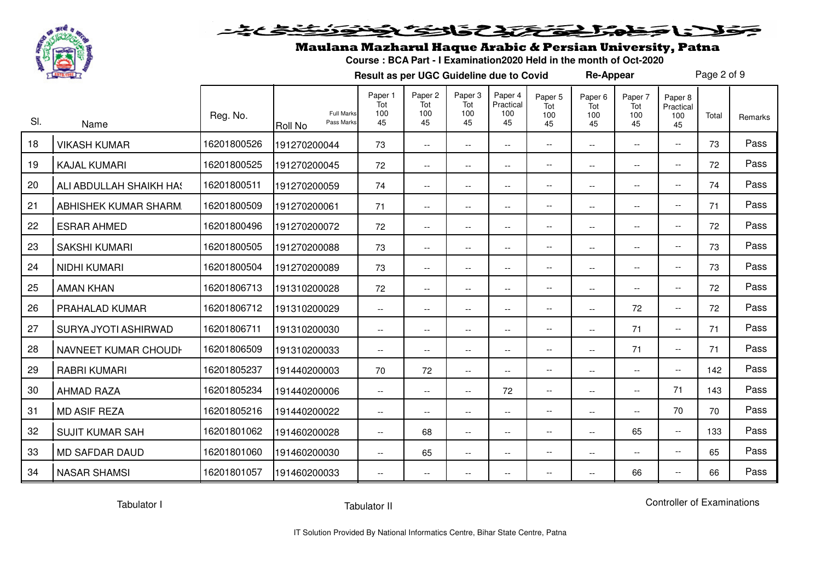

#### <u>متنظیم به</u> فلانا جمطور اخترج تذاخى فخذ

## Maulana Mazharul Haque Arabic & Persian University, Patna

**Course : BCA Part - I Examination2020 Held in the month of Oct-2020**

**Result as per UGC Guideline due to Covid**

Page 2 of 9

**Re-Appear**

| SI. | Name                    | Reg. No.    | <b>Full Marks</b><br>Pass Marks<br>Roll No | Paper 1<br>Tot<br>100<br>45 | Paper 2<br>Tot<br>100<br>45 | Paper 3<br>Tot<br>100<br>45 | Paper 4<br>Practical<br>100<br>45 | Paper 5<br>Tot<br>100<br>45 | Paper 6<br>Tot<br>100<br>45 | Paper 7<br>Tot<br>100<br>45 | Paper 8<br>Practical<br>100<br>45 | Total | Remarks |
|-----|-------------------------|-------------|--------------------------------------------|-----------------------------|-----------------------------|-----------------------------|-----------------------------------|-----------------------------|-----------------------------|-----------------------------|-----------------------------------|-------|---------|
| 18  | <b>VIKASH KUMAR</b>     | 16201800526 | 191270200044                               | 73                          | $\overline{\phantom{a}}$    | $-$                         | $\overline{\phantom{a}}$          | $\overline{\phantom{a}}$    | $\overline{\phantom{m}}$    | $ -$                        | $\overline{\phantom{a}}$          | 73    | Pass    |
| 19  | <b>KAJAL KUMARI</b>     | 16201800525 | 191270200045                               | 72                          | $- -$                       | $\overline{\phantom{a}}$    | $\overline{\phantom{a}}$          | $\overline{\phantom{a}}$    | $\overline{\phantom{m}}$    | $\overline{\phantom{a}}$    | $\overline{\phantom{a}}$          | 72    | Pass    |
| 20  | ALI ABDULLAH SHAIKH HA! | 16201800511 | 191270200059                               | 74                          | $\overline{\phantom{a}}$    | $\overline{\phantom{a}}$    | $\overline{\phantom{a}}$          | $\overline{\phantom{m}}$    | $\overline{\phantom{a}}$    | $\overline{\phantom{m}}$    | $\overline{\phantom{a}}$          | 74    | Pass    |
| 21  | ABHISHEK KUMAR SHARM.   | 16201800509 | 191270200061                               | 71                          | $\overline{\phantom{a}}$    | $\overline{\phantom{a}}$    | $\overline{\phantom{a}}$          | $\overline{\phantom{a}}$    | $\overline{\phantom{a}}$    | $ -$                        | $\overline{\phantom{a}}$          | 71    | Pass    |
| 22  | <b>ESRAR AHMED</b>      | 16201800496 | 191270200072                               | 72                          | $\overline{\phantom{a}}$    | $\overline{\phantom{m}}$    | --                                | $\overline{\phantom{m}}$    | $\overline{\phantom{a}}$    | $- -$                       | $-$                               | 72    | Pass    |
| 23  | <b>SAKSHI KUMARI</b>    | 16201800505 | 191270200088                               | 73                          | $\overline{\phantom{a}}$    | $\overline{\phantom{m}}$    | $\overline{\phantom{a}}$          | $\overline{\phantom{m}}$    | $\overline{\phantom{m}}$    | $\overline{\phantom{a}}$    | $\overline{\phantom{a}}$          | 73    | Pass    |
| 24  | <b>NIDHI KUMARI</b>     | 16201800504 | 191270200089                               | 73                          | $\overline{\phantom{a}}$    | $\overline{\phantom{a}}$    | $\overline{\phantom{a}}$          | $\overline{\phantom{a}}$    | $\overline{\phantom{a}}$    | $\overline{\phantom{a}}$    | --                                | 73    | Pass    |
| 25  | <b>AMAN KHAN</b>        | 16201806713 | 191310200028                               | 72                          | $\overline{\phantom{a}}$    | $\overline{\phantom{a}}$    | $-$                               | $\overline{\phantom{m}}$    | $\overline{\phantom{a}}$    | $\overline{\phantom{a}}$    | $\overline{\phantom{a}}$          | 72    | Pass    |
| 26  | PRAHALAD KUMAR          | 16201806712 | 191310200029                               | $\overline{\phantom{a}}$    | $\overline{\phantom{a}}$    | $-$                         | $\overline{\phantom{a}}$          | $\overline{\phantom{m}}$    | $\overline{\phantom{a}}$    | 72                          | $\overline{\phantom{a}}$          | 72    | Pass    |
| 27  | SURYA JYOTI ASHIRWAD    | 16201806711 | 191310200030                               | $\overline{\phantom{a}}$    | $\overline{\phantom{a}}$    | --                          | $-$                               | $\overline{\phantom{a}}$    | $\overline{\phantom{a}}$    | 71                          | $\overline{\phantom{a}}$          | 71    | Pass    |
| 28  | NAVNEET KUMAR CHOUDH    | 16201806509 | 191310200033                               | --                          | $\overline{\phantom{a}}$    | --                          | --                                | $\overline{\phantom{m}}$    | $\overline{\phantom{a}}$    | 71                          | $\overline{\phantom{a}}$          | 71    | Pass    |
| 29  | <b>RABRI KUMARI</b>     | 16201805237 | 191440200003                               | 70                          | 72                          | $\overline{\phantom{a}}$    | --                                | $\overline{\phantom{m}}$    | $\overline{\phantom{a}}$    | $\overline{\phantom{m}}$    | $\overline{\phantom{a}}$          | 142   | Pass    |
| 30  | <b>AHMAD RAZA</b>       | 16201805234 | 191440200006                               | $\overline{\phantom{a}}$    | $\overline{\phantom{a}}$    | $-$                         | 72                                | $\overline{\phantom{a}}$    | $\overline{\phantom{a}}$    | $ -$                        | 71                                | 143   | Pass    |
| 31  | <b>MD ASIF REZA</b>     | 16201805216 | 191440200022                               | $\overline{\phantom{a}}$    | $\overline{\phantom{a}}$    | $\overline{\phantom{a}}$    | --                                | $\overline{\phantom{m}}$    | $\overline{\phantom{a}}$    | $ -$                        | 70                                | 70    | Pass    |
| 32  | <b>SUJIT KUMAR SAH</b>  | 16201801062 | 191460200028                               | $\overline{\phantom{a}}$    | 68                          | $\overline{\phantom{a}}$    | $\overline{\phantom{a}}$          | $\overline{\phantom{m}}$    | $\overline{\phantom{m}}$    | 65                          | $\overline{\phantom{a}}$          | 133   | Pass    |
| 33  | <b>MD SAFDAR DAUD</b>   | 16201801060 | 191460200030                               | $-\, -$                     | 65                          | $\overline{\phantom{m}}$    | $\overline{\phantom{a}}$          | $\overline{\phantom{a}}$    | $\overline{\phantom{a}}$    | $\overline{\phantom{a}}$    | --                                | 65    | Pass    |
| 34  | <b>NASAR SHAMSI</b>     | 16201801057 | 191460200033                               | $- -$                       | $- -$                       | $-$                         | $- -$                             | $\overline{\phantom{a}}$    | $\overline{\phantom{a}}$    | 66                          | $-$                               | 66    | Pass    |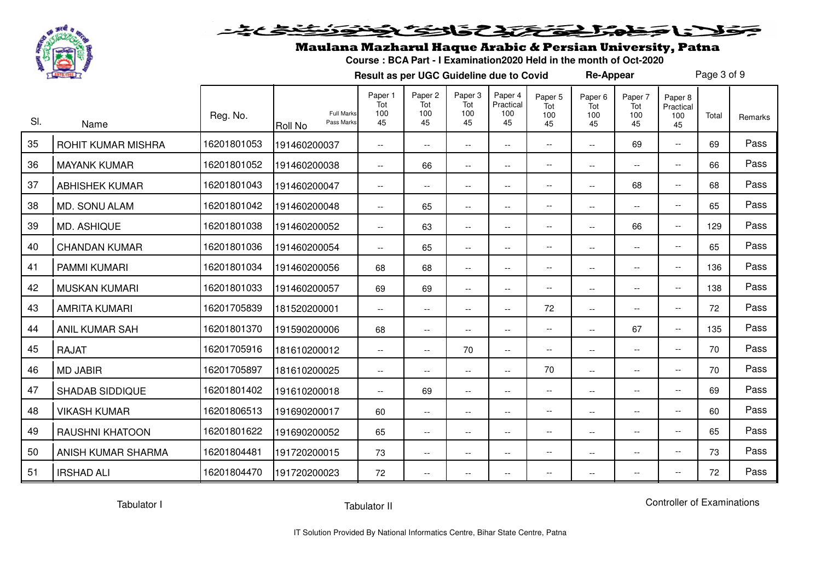

#### فكفضخ عجت فلأنا جمط وتركيح تحافظ فلانتفاق

## Maulana Mazharul Haque Arabic & Persian University, Patna

**Course : BCA Part - I Examination2020 Held in the month of Oct-2020**

**Result as per UGC Guideline due to Covid**

Page 3 of 9

**Re-Appear**

| SI. | Name                   | Reg. No.    | <b>Full Marks</b><br>Pass Marks<br><b>Roll No</b> | Paper 1<br>Tot<br>100<br>45 | Paper 2<br>Tot<br>100<br>45 | Paper 3<br>Tot<br>100<br>45 | Paper 4<br>Practical<br>100<br>45 | Paper 5<br>Tot<br>100<br>45 | Paper <sub>6</sub><br>Tot<br>100<br>45 | Paper 7<br>Tot<br>100<br>45 | Paper 8<br>Practical<br>100<br>45 | Total | Remarks |
|-----|------------------------|-------------|---------------------------------------------------|-----------------------------|-----------------------------|-----------------------------|-----------------------------------|-----------------------------|----------------------------------------|-----------------------------|-----------------------------------|-------|---------|
| 35  | ROHIT KUMAR MISHRA     | 16201801053 | 191460200037                                      | $\overline{\phantom{a}}$    | $\overline{\phantom{a}}$    | $\overline{\phantom{a}}$    | $\overline{\phantom{a}}$          | $\overline{\phantom{a}}$    | $-$                                    | 69                          | $- -$                             | 69    | Pass    |
| 36  | <b>MAYANK KUMAR</b>    | 16201801052 | 191460200038                                      | $- -$                       | 66                          | $\overline{\phantom{a}}$    | $\overline{\phantom{a}}$          | $\overline{\phantom{a}}$    | $\overline{\phantom{a}}$               | $\overline{\phantom{a}}$    | $\overline{\phantom{a}}$          | 66    | Pass    |
| 37  | <b>ABHISHEK KUMAR</b>  | 16201801043 | 191460200047                                      | $\overline{\phantom{a}}$    | $-\, -$                     | $\hspace{0.05cm} \ldots$    | $\overline{\phantom{a}}$          | $\overline{\phantom{a}}$    | $\overline{\phantom{a}}$               | 68                          | $\overline{\phantom{a}}$          | 68    | Pass    |
| 38  | MD. SONU ALAM          | 16201801042 | 191460200048                                      | $\overline{\phantom{a}}$    | 65                          | $\overline{\phantom{a}}$    | $-$                               | $-\,$ $-$                   | $\overline{\phantom{a}}$               | $\overline{\phantom{a}}$    | $\overline{\phantom{a}}$          | 65    | Pass    |
| 39  | MD. ASHIQUE            | 16201801038 | 191460200052                                      | $\overline{\phantom{a}}$    | 63                          | $\overline{\phantom{a}}$    | $ -$                              | $\overline{\phantom{a}}$    | $\overline{\phantom{a}}$               | 66                          | $\overline{\phantom{a}}$          | 129   | Pass    |
| 40  | <b>CHANDAN KUMAR</b>   | 16201801036 | 191460200054                                      | $\overline{\phantom{a}}$    | 65                          | $\overline{\phantom{a}}$    | $\overline{\phantom{a}}$          | $\overline{\phantom{a}}$    | $\overline{\phantom{a}}$               | $\overline{\phantom{a}}$    | $- -$                             | 65    | Pass    |
| 41  | <b>PAMMI KUMARI</b>    | 16201801034 | 191460200056                                      | 68                          | 68                          | $\overline{\phantom{a}}$    | $\overline{\phantom{a}}$          | $\overline{\phantom{a}}$    | $\overline{\phantom{a}}$               | $\overline{\phantom{a}}$    | $\overline{\phantom{a}}$          | 136   | Pass    |
| 42  | <b>MUSKAN KUMARI</b>   | 16201801033 | 191460200057                                      | 69                          | 69                          | $\overline{\phantom{a}}$    | $\overline{\phantom{a}}$          | $\overline{\phantom{a}}$    | $\overline{\phantom{a}}$               | $\overline{\phantom{a}}$    | $\overline{\phantom{a}}$          | 138   | Pass    |
| 43  | <b>AMRITA KUMARI</b>   | 16201705839 | 181520200001                                      | $\overline{\phantom{a}}$    | $\overline{\phantom{a}}$    | $\overline{\phantom{a}}$    | $\overline{\phantom{a}}$          | 72                          | $\overline{\phantom{a}}$               | $\overline{\phantom{a}}$    | $\overline{\phantom{m}}$          | 72    | Pass    |
| 44  | <b>ANIL KUMAR SAH</b>  | 16201801370 | 191590200006                                      | 68                          | $\overline{\phantom{a}}$    | $\overline{\phantom{a}}$    | $-$                               | $\overline{\phantom{a}}$    | $\overline{\phantom{a}}$               | 67                          | $\overline{\phantom{a}}$          | 135   | Pass    |
| 45  | <b>RAJAT</b>           | 16201705916 | 181610200012                                      | $\overline{\phantom{a}}$    | $\overline{\phantom{a}}$    | 70                          | $\overline{\phantom{a}}$          | $\overline{\phantom{a}}$    | $\overline{\phantom{a}}$               | $\overline{\phantom{a}}$    | $\overline{\phantom{a}}$          | 70    | Pass    |
| 46  | <b>MD JABIR</b>        | 16201705897 | 181610200025                                      | $\overline{\phantom{a}}$    | $\overline{\phantom{a}}$    | $\overline{\phantom{m}}$    | $\overline{\phantom{a}}$          | 70                          | $\overline{\phantom{a}}$               | $\overline{\phantom{a}}$    | $- -$                             | 70    | Pass    |
| 47  | <b>SHADAB SIDDIQUE</b> | 16201801402 | 191610200018                                      | $\overline{\phantom{a}}$    | 69                          | $\overline{\phantom{a}}$    | $\overline{\phantom{a}}$          | $\overline{\phantom{a}}$    | $\overline{\phantom{a}}$               | $\overline{\phantom{a}}$    | $\overline{\phantom{a}}$          | 69    | Pass    |
| 48  | <b>VIKASH KUMAR</b>    | 16201806513 | 191690200017                                      | 60                          | $\overline{\phantom{a}}$    | $\overline{\phantom{a}}$    | $ -$                              | $\overline{\phantom{a}}$    | $\overline{\phantom{a}}$               | $\overline{\phantom{a}}$    | $\overline{\phantom{a}}$          | 60    | Pass    |
| 49  | <b>RAUSHNI KHATOON</b> | 16201801622 | 191690200052                                      | 65                          | $\overline{\phantom{a}}$    | $\overline{\phantom{a}}$    | $\overline{\phantom{a}}$          | $\overline{\phantom{a}}$    | $\overline{\phantom{a}}$               | $\overline{\phantom{a}}$    | $\overline{\phantom{a}}$          | 65    | Pass    |
| 50  | ANISH KUMAR SHARMA     | 16201804481 | 191720200015                                      | 73                          | $- -$                       | $\overline{\phantom{a}}$    | $\overline{\phantom{a}}$          | $\overline{\phantom{a}}$    | $\overline{\phantom{a}}$               | $\overline{\phantom{a}}$    | $\overline{\phantom{a}}$          | 73    | Pass    |
| 51  | <b>IRSHAD ALI</b>      | 16201804470 | 191720200023                                      | 72                          | $\overline{\phantom{a}}$    | $\overline{\phantom{a}}$    | $\overline{\phantom{a}}$          | $\overline{\phantom{m}}$    | $\overline{\phantom{a}}$               | $\overline{\phantom{a}}$    | $\overline{\phantom{a}}$          | 72    | Pass    |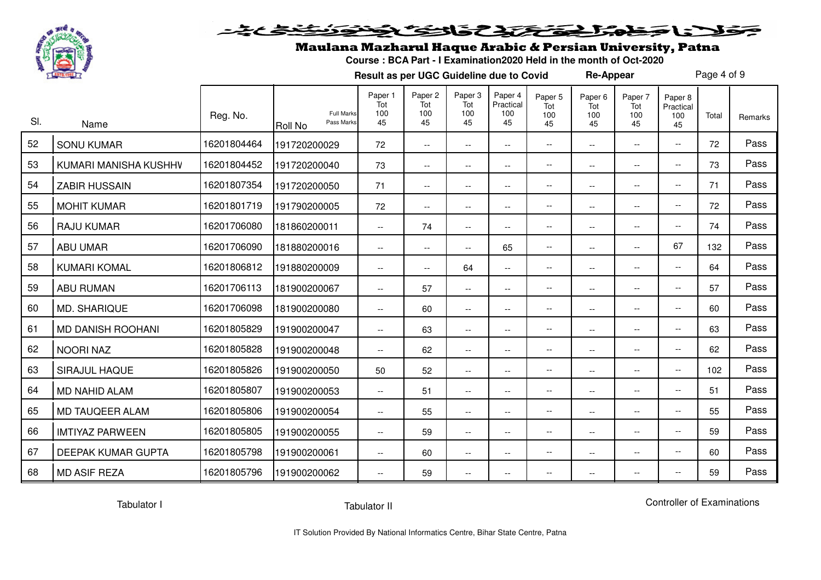

#### فكفخلخ فلانا متعالى تكتك كتابك فانتكأ

## Maulana Mazharul Haque Arabic & Persian University, Patna

**Course : BCA Part - I Examination2020 Held in the month of Oct-2020**

**Result as per UGC Guideline due to Covid**

Page 4 of 9

**Re-Appear**

| SI. | Name                      | Reg. No.    | <b>Full Marks</b><br>Pass Marks<br><b>Roll No</b> | Paper 1<br>Tot<br>100<br>45 | Paper <sub>2</sub><br>Tot<br>100<br>45 | Paper 3<br>Tot<br>100<br>45 | Paper 4<br>Practical<br>100<br>45 | Paper <sub>5</sub><br>Tot<br>100<br>45 | Paper <sub>6</sub><br>Tot<br>100<br>45 | Paper 7<br>Tot<br>100<br>45 | Paper 8<br>Practical<br>100<br>45 | Total | Remarks |
|-----|---------------------------|-------------|---------------------------------------------------|-----------------------------|----------------------------------------|-----------------------------|-----------------------------------|----------------------------------------|----------------------------------------|-----------------------------|-----------------------------------|-------|---------|
| 52  | <b>SONU KUMAR</b>         | 16201804464 | 191720200029                                      | 72                          | $\overline{\phantom{a}}$               | $\overline{\phantom{a}}$    | $-$                               | $\overline{\phantom{a}}$               | $\overline{\phantom{a}}$               | $\overline{\phantom{a}}$    | $\overline{\phantom{a}}$          | 72    | Pass    |
| 53  | KUMARI MANISHA KUSHHV     | 16201804452 | 191720200040                                      | 73                          | $- -$                                  | $\overline{\phantom{a}}$    | $\overline{\phantom{a}}$          | $\overline{\phantom{a}}$               | $\overline{\phantom{a}}$               | $ -$                        | $- -$                             | 73    | Pass    |
| 54  | <b>ZABIR HUSSAIN</b>      | 16201807354 | 191720200050                                      | 71                          | $\overline{\phantom{a}}$               | $\overline{\phantom{a}}$    | $\overline{\phantom{a}}$          | $\overline{\phantom{a}}$               | $\overline{\phantom{a}}$               | $ -$                        | $- -$                             | 71    | Pass    |
| 55  | <b>MOHIT KUMAR</b>        | 16201801719 | 191790200005                                      | 72                          | $\overline{\phantom{a}}$               | $\overline{\phantom{a}}$    | $\overline{\phantom{a}}$          | $\overline{\phantom{a}}$               | $\overline{\phantom{a}}$               | $\overline{\phantom{a}}$    | $ -$                              | 72    | Pass    |
| 56  | <b>RAJU KUMAR</b>         | 16201706080 | 181860200011                                      | $\overline{\phantom{a}}$    | 74                                     | $\overline{\phantom{a}}$    | $\overline{\phantom{a}}$          | $\overline{\phantom{a}}$               | $\overline{\phantom{a}}$               | $\overline{\phantom{a}}$    | $- -$                             | 74    | Pass    |
| 57  | <b>ABU UMAR</b>           | 16201706090 | 181880200016                                      | $\overline{\phantom{a}}$    | $\overline{\phantom{a}}$               | $\overline{\phantom{a}}$    | 65                                | $\overline{\phantom{m}}$               | $\overline{\phantom{a}}$               | $\overline{\phantom{a}}$    | 67                                | 132   | Pass    |
| 58  | <b>KUMARI KOMAL</b>       | 16201806812 | 191880200009                                      | $\overline{\phantom{a}}$    | $\overline{\phantom{a}}$               | 64                          | $\overline{\phantom{a}}$          | $\overline{\phantom{m}}$               | $\overline{\phantom{a}}$               | $\overline{\phantom{a}}$    | $\overline{\phantom{a}}$          | 64    | Pass    |
| 59  | <b>ABU RUMAN</b>          | 16201706113 | 181900200067                                      | $\overline{\phantom{a}}$    | 57                                     | $- -$                       | $\overline{\phantom{a}}$          | $\hspace{0.05cm} \ldots$               | $\overline{\phantom{a}}$               | $\overline{\phantom{a}}$    | $- -$                             | 57    | Pass    |
| 60  | <b>MD. SHARIQUE</b>       | 16201706098 | 181900200080                                      | $ -$                        | 60                                     | $\overline{\phantom{a}}$    | --                                | $\overline{\phantom{a}}$               | $\overline{\phantom{a}}$               | $ -$                        | --                                | 60    | Pass    |
| 61  | <b>MD DANISH ROOHANI</b>  | 16201805829 | 191900200047                                      | $\overline{\phantom{a}}$    | 63                                     | $\overline{\phantom{a}}$    | --                                | $\overline{\phantom{a}}$               | $\overline{\phantom{a}}$               | $\overline{\phantom{a}}$    | $- -$                             | 63    | Pass    |
| 62  | <b>NOORI NAZ</b>          | 16201805828 | 191900200048                                      | $ -$                        | 62                                     | $\overline{\phantom{a}}$    | $\overline{\phantom{a}}$          | $\overline{\phantom{a}}$               | $\overline{\phantom{a}}$               | $ -$                        | $\overline{\phantom{a}}$          | 62    | Pass    |
| 63  | SIRAJUL HAQUE             | 16201805826 | 191900200050                                      | 50                          | 52                                     | $\overline{\phantom{a}}$    | --                                | $\overline{\phantom{a}}$               | $\overline{\phantom{a}}$               | $ -$                        | $-$                               | 102   | Pass    |
| 64  | <b>MD NAHID ALAM</b>      | 16201805807 | 191900200053                                      | $\overline{\phantom{a}}$    | 51                                     | $\overline{\phantom{a}}$    | $-$                               | $\overline{\phantom{a}}$               | $\overline{\phantom{a}}$               | $\overline{\phantom{a}}$    | $\overline{\phantom{a}}$          | 51    | Pass    |
| 65  | MD TAUQEER ALAM           | 16201805806 | 191900200054                                      | $\overline{\phantom{a}}$    | 55                                     | $\overline{\phantom{a}}$    | $\overline{\phantom{a}}$          | $\overline{\phantom{a}}$               | $\overline{\phantom{a}}$               | $\overline{\phantom{a}}$    | $\overline{\phantom{a}}$          | 55    | Pass    |
| 66  | <b>IMTIYAZ PARWEEN</b>    | 16201805805 | 191900200055                                      | $\overline{\phantom{a}}$    | 59                                     | $\overline{\phantom{a}}$    | $\overline{\phantom{a}}$          | $\overline{\phantom{a}}$               | $\overline{\phantom{a}}$               | $ -$                        | $- -$                             | 59    | Pass    |
| 67  | <b>DEEPAK KUMAR GUPTA</b> | 16201805798 | 191900200061                                      | $\overline{\phantom{m}}$    | 60                                     | $\overline{\phantom{a}}$    | $\overline{\phantom{a}}$          | $\overline{\phantom{a}}$               | $\overline{\phantom{a}}$               | $\overline{\phantom{m}}$    | $- -$                             | 60    | Pass    |
| 68  | <b>MD ASIF REZA</b>       | 16201805796 | 191900200062                                      | $\overline{\phantom{a}}$    | 59                                     | $\overline{\phantom{a}}$    | $\overline{\phantom{a}}$          | $\overline{\phantom{m}}$               | $\overline{\phantom{a}}$               | $\overline{\phantom{a}}$    | $\overline{\phantom{a}}$          | 59    | Pass    |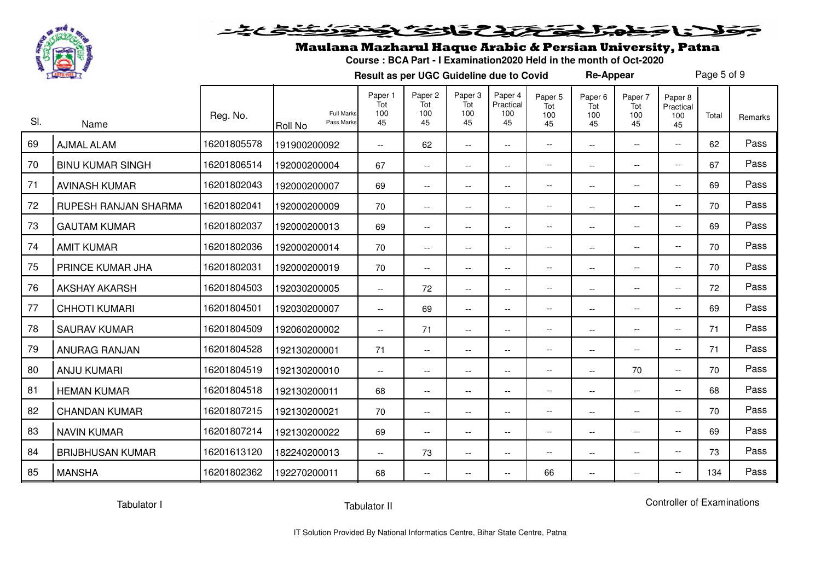

#### <u>متنظیم به</u> فلانا حطمته المتخفخ تخافخا تكاف

## Maulana Mazharul Haque Arabic & Persian University, Patna

**Course : BCA Part - I Examination2020 Held in the month of Oct-2020**

**Result as per UGC Guideline due to Covid**

Page 5 of 9

**Re-Appear**

| SI. | Name                    | Reg. No.    | <b>Full Marks</b><br>Pass Marks<br><b>Roll No</b> | Paper 1<br>Tot<br>100<br>45 | Paper <sub>2</sub><br>Tot<br>100<br>45 | Paper 3<br>Tot<br>100<br>45 | Paper 4<br>Practical<br>100<br>45 | Paper 5<br>Tot<br>100<br>45 | Paper 6<br>Tot<br>100<br>45 | Paper 7<br>Tot<br>100<br>45 | Paper 8<br>Practical<br>100<br>45 | Total | Remarks |
|-----|-------------------------|-------------|---------------------------------------------------|-----------------------------|----------------------------------------|-----------------------------|-----------------------------------|-----------------------------|-----------------------------|-----------------------------|-----------------------------------|-------|---------|
| 69  | <b>AJMAL ALAM</b>       | 16201805578 | 191900200092                                      | $\overline{\phantom{a}}$    | 62                                     | $\overline{\phantom{a}}$    | $\overline{\phantom{a}}$          | $\overline{\phantom{a}}$    | $\overline{\phantom{a}}$    | $- -$                       | $\overline{\phantom{a}}$          | 62    | Pass    |
| 70  | <b>BINU KUMAR SINGH</b> | 16201806514 | 192000200004                                      | 67                          | $\overline{\phantom{a}}$               | $\overline{\phantom{a}}$    | $-$                               | $\overline{\phantom{a}}$    | $\overline{\phantom{a}}$    | $-$                         | $\overline{\phantom{a}}$          | 67    | Pass    |
| 71  | <b>AVINASH KUMAR</b>    | 16201802043 | 192000200007                                      | 69                          | $\overline{\phantom{m}}$               | $\overline{\phantom{a}}$    | $\overline{\phantom{m}}$          | $-\,$ $-$                   | $\overline{\phantom{a}}$    | $\overline{\phantom{a}}$    | $\overline{\phantom{a}}$          | 69    | Pass    |
| 72  | RUPESH RANJAN SHARMA    | 16201802041 | 192000200009                                      | 70                          | $\overline{\phantom{a}}$               | $\overline{\phantom{a}}$    | $-$                               | $\overline{\phantom{a}}$    | $ -$                        | $\overline{\phantom{a}}$    | $\overline{\phantom{a}}$          | 70    | Pass    |
| 73  | <b>GAUTAM KUMAR</b>     | 16201802037 | 192000200013                                      | 69                          | $\overline{\phantom{a}}$               | $\overline{\phantom{a}}$    | $\overline{\phantom{m}}$          | $\overline{\phantom{m}}$    | $\overline{\phantom{a}}$    | $- -$                       | $\overline{\phantom{a}}$          | 69    | Pass    |
| 74  | <b>AMIT KUMAR</b>       | 16201802036 | 192000200014                                      | 70                          | $-$                                    | $ -$                        | $-$                               | $-\,$ $-$                   | $ -$                        | $\overline{\phantom{a}}$    | $\overline{\phantom{a}}$          | 70    | Pass    |
| 75  | PRINCE KUMAR JHA        | 16201802031 | 192000200019                                      | 70                          | $\overline{\phantom{a}}$               | $\overline{\phantom{a}}$    | $-$                               | $\overline{\phantom{a}}$    | $\overline{\phantom{a}}$    | $\overline{\phantom{a}}$    | $\overline{\phantom{a}}$          | 70    | Pass    |
| 76  | <b>AKSHAY AKARSH</b>    | 16201804503 | 192030200005                                      | $\overline{\phantom{a}}$    | 72                                     | $\overline{\phantom{a}}$    | $\overline{\phantom{a}}$          | $\hspace{0.05cm} \ldots$    | $\overline{\phantom{a}}$    | $- -$                       | $\overline{\phantom{a}}$          | 72    | Pass    |
| 77  | <b>CHHOTI KUMARI</b>    | 16201804501 | 192030200007                                      | $\overline{\phantom{a}}$    | 69                                     | $\overline{\phantom{a}}$    | $-$                               | $\overline{\phantom{a}}$    | $ -$                        | $- -$                       | $\overline{\phantom{a}}$          | 69    | Pass    |
| 78  | <b>SAURAV KUMAR</b>     | 16201804509 | 192060200002                                      | $\overline{\phantom{a}}$    | 71                                     | $\overline{\phantom{a}}$    | $-$                               | $\overline{\phantom{a}}$    | $\overline{\phantom{a}}$    | $\overline{\phantom{a}}$    | $\overline{\phantom{a}}$          | 71    | Pass    |
| 79  | ANURAG RANJAN           | 16201804528 | 192130200001                                      | 71                          | $\overline{\phantom{a}}$               | $\overline{\phantom{a}}$    | --                                | $\overline{\phantom{a}}$    | $\overline{\phantom{a}}$    | $- -$                       | $\overline{\phantom{a}}$          | 71    | Pass    |
| 80  | <b>ANJU KUMARI</b>      | 16201804519 | 192130200010                                      | $\overline{\phantom{a}}$    | $\overline{\phantom{a}}$               | $\overline{\phantom{a}}$    | $-$                               | $\overline{\phantom{m}}$    | $\overline{\phantom{a}}$    | 70                          | $\overline{\phantom{a}}$          | 70    | Pass    |
| 81  | <b>HEMAN KUMAR</b>      | 16201804518 | 192130200011                                      | 68                          | $-$                                    | $\overline{\phantom{a}}$    | $-$                               | $\overline{\phantom{a}}$    | $ -$                        | $- -$                       | $\overline{\phantom{a}}$          | 68    | Pass    |
| 82  | <b>CHANDAN KUMAR</b>    | 16201807215 | 192130200021                                      | 70                          | $\overline{\phantom{a}}$               | $\overline{\phantom{m}}$    | $\overline{\phantom{a}}$          | $\overline{\phantom{m}}$    | $\overline{\phantom{m}}$    | $- -$                       | $\overline{a}$                    | 70    | Pass    |
| 83  | <b>NAVIN KUMAR</b>      | 16201807214 | 192130200022                                      | 69                          | $\overline{\phantom{a}}$               | $\overline{\phantom{a}}$    | $-$                               | $\hspace{0.05cm} \ldots$    | $ -$                        | $\overline{\phantom{a}}$    | $\overline{\phantom{a}}$          | 69    | Pass    |
| 84  | <b>BRIJBHUSAN KUMAR</b> | 16201613120 | 182240200013                                      | $\overline{\phantom{a}}$    | 73                                     | $\overline{\phantom{a}}$    | $-$                               | $\overline{\phantom{a}}$    | $\overline{\phantom{a}}$    | $\overline{\phantom{a}}$    | $\overline{\phantom{a}}$          | 73    | Pass    |
| 85  | <b>MANSHA</b>           | 16201802362 | 192270200011                                      | 68                          | $\overline{\phantom{a}}$               | $\overline{\phantom{a}}$    | --                                | 66                          | $\overline{\phantom{a}}$    | $- -$                       | $\overline{\phantom{a}}$          | 134   | Pass    |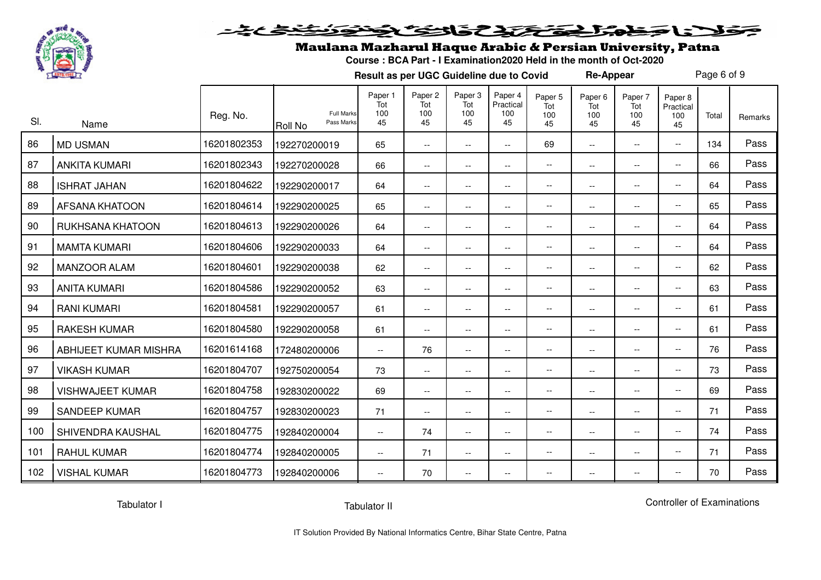

#### <u>متخخخخخ</u> فلانا حطمته فتختط تخافت نكاف

## Maulana Mazharul Haque Arabic & Persian University, Patna

**Course : BCA Part - I Examination2020 Held in the month of Oct-2020**

**Result as per UGC Guideline due to Covid**

Page 6 of 9

**Re-Appear**

| SI. | Name                    | Reg. No.    | <b>Full Marks</b><br>Pass Marks<br><b>Roll No</b> | Paper 1<br>Tot<br>100<br>45 | Paper 2<br>Tot<br>100<br>45 | Paper <sub>3</sub><br>Tot<br>100<br>45 | Paper 4<br>Practical<br>100<br>45 | Paper 5<br>Tot<br>100<br>45 | Paper <sub>6</sub><br>Tot<br>100<br>45 | Paper 7<br>Tot<br>100<br>45 | Paper 8<br>Practical<br>100<br>45 | Total | Remarks |
|-----|-------------------------|-------------|---------------------------------------------------|-----------------------------|-----------------------------|----------------------------------------|-----------------------------------|-----------------------------|----------------------------------------|-----------------------------|-----------------------------------|-------|---------|
| 86  | <b>MD USMAN</b>         | 16201802353 | 192270200019                                      | 65                          | $ -$                        | $\overline{\phantom{a}}$               | $\overline{\phantom{a}}$          | 69                          | $\overline{\phantom{a}}$               | $-$                         | $- -$                             | 134   | Pass    |
| 87  | <b>ANKITA KUMARI</b>    | 16201802343 | 192270200028                                      | 66                          | $\overline{\phantom{a}}$    | $\overline{\phantom{a}}$               | $ -$                              | $\overline{\phantom{a}}$    | $\overline{\phantom{a}}$               | --                          | $\overline{\phantom{a}}$          | 66    | Pass    |
| 88  | <b>ISHRAT JAHAN</b>     | 16201804622 | 192290200017                                      | 64                          | $\overline{\phantom{a}}$    | $\overline{\phantom{a}}$               | $\overline{\phantom{a}}$          | $\qquad \qquad -$           | $\overline{\phantom{a}}$               | $\overline{\phantom{a}}$    | $\overline{\phantom{a}}$          | 64    | Pass    |
| 89  | <b>AFSANA KHATOON</b>   | 16201804614 | 192290200025                                      | 65                          | $\overline{\phantom{a}}$    | $\overline{\phantom{a}}$               | $\overline{\phantom{a}}$          | --                          | $-$                                    | --                          | $\overline{\phantom{a}}$          | 65    | Pass    |
| 90  | RUKHSANA KHATOON        | 16201804613 | 192290200026                                      | 64                          | $\overline{\phantom{a}}$    | $\overline{\phantom{a}}$               | $\overline{\phantom{a}}$          | --                          | $\overline{\phantom{a}}$               | $\overline{\phantom{a}}$    | $\overline{\phantom{a}}$          | 64    | Pass    |
| 91  | <b>MAMTA KUMARI</b>     | 16201804606 | 192290200033                                      | 64                          | $\overline{\phantom{a}}$    | $\overline{\phantom{a}}$               | $\overline{\phantom{a}}$          | --                          | $\overline{\phantom{a}}$               | $\overline{\phantom{a}}$    | $- -$                             | 64    | Pass    |
| 92  | <b>MANZOOR ALAM</b>     | 16201804601 | 192290200038                                      | 62                          | $ -$                        | $\overline{\phantom{a}}$               | $\overline{\phantom{a}}$          | $\overline{\phantom{a}}$    | $\overline{\phantom{a}}$               | $\overline{\phantom{a}}$    | $- -$                             | 62    | Pass    |
| 93  | <b>ANITA KUMARI</b>     | 16201804586 | 192290200052                                      | 63                          | $\overline{\phantom{a}}$    | $\overline{\phantom{a}}$               | $ -$                              | $\overline{\phantom{a}}$    | $\overline{\phantom{a}}$               | $\overline{\phantom{a}}$    | $- -$                             | 63    | Pass    |
| 94  | <b>RANI KUMARI</b>      | 16201804581 | 192290200057                                      | 61                          | $\overline{\phantom{m}}$    | $\overline{\phantom{a}}$               | $-\, -$                           | $\qquad \qquad -$           | --                                     | $\overline{\phantom{a}}$    | $\overline{\phantom{a}}$          | 61    | Pass    |
| 95  | <b>RAKESH KUMAR</b>     | 16201804580 | 192290200058                                      | 61                          | $\overline{\phantom{m}}$    | $\overline{\phantom{a}}$               | $\overline{\phantom{a}}$          | $\overline{\phantom{a}}$    | $\overline{\phantom{a}}$               | --                          | $\overline{\phantom{a}}$          | 61    | Pass    |
| 96  | ABHIJEET KUMAR MISHRA   | 16201614168 | 172480200006                                      | $\overline{\phantom{a}}$    | 76                          | $\overline{\phantom{a}}$               | $\overline{\phantom{a}}$          | $\qquad \qquad -$           | $\overline{\phantom{a}}$               | $\overline{\phantom{a}}$    | $\overline{\phantom{a}}$          | 76    | Pass    |
| 97  | <b>VIKASH KUMAR</b>     | 16201804707 | 192750200054                                      | 73                          | $\overline{\phantom{a}}$    | $\overline{\phantom{a}}$               | $\overline{\phantom{a}}$          | --                          | $\overline{\phantom{a}}$               | $\overline{\phantom{a}}$    | $- -$                             | 73    | Pass    |
| 98  | <b>VISHWAJEET KUMAR</b> | 16201804758 | 192830200022                                      | 69                          | $\overline{\phantom{a}}$    | $\overline{\phantom{a}}$               | $\overline{\phantom{a}}$          | $\overline{\phantom{a}}$    | $-$                                    | $-$                         | $- -$                             | 69    | Pass    |
| 99  | <b>SANDEEP KUMAR</b>    | 16201804757 | 192830200023                                      | 71                          | $ -$                        | $ -$                                   | $ -$                              | $\qquad \qquad -$           | $\overline{\phantom{a}}$               | $-$                         | $\overline{\phantom{a}}$          | 71    | Pass    |
| 100 | SHIVENDRA KAUSHAL       | 16201804775 | 192840200004                                      | $\overline{\phantom{a}}$    | 74                          | $\overline{\phantom{a}}$               | $-\, -$                           | $\qquad \qquad -$           | --                                     | $\overline{\phantom{a}}$    | $\overline{\phantom{a}}$          | 74    | Pass    |
| 101 | <b>RAHUL KUMAR</b>      | 16201804774 | 192840200005                                      | $\overline{\phantom{m}}$    | 71                          | $\overline{\phantom{a}}$               | $\overline{\phantom{a}}$          | $\overline{\phantom{a}}$    | $\qquad \qquad -$                      | --                          | $\overline{\phantom{a}}$          | 71    | Pass    |
| 102 | <b>VISHAL KUMAR</b>     | 16201804773 | 192840200006                                      | $\overline{\phantom{a}}$    | 70                          | $\overline{\phantom{a}}$               | $\overline{\phantom{a}}$          | $\overline{\phantom{m}}$    | --                                     | --                          | $\overline{\phantom{a}}$          | 70    | Pass    |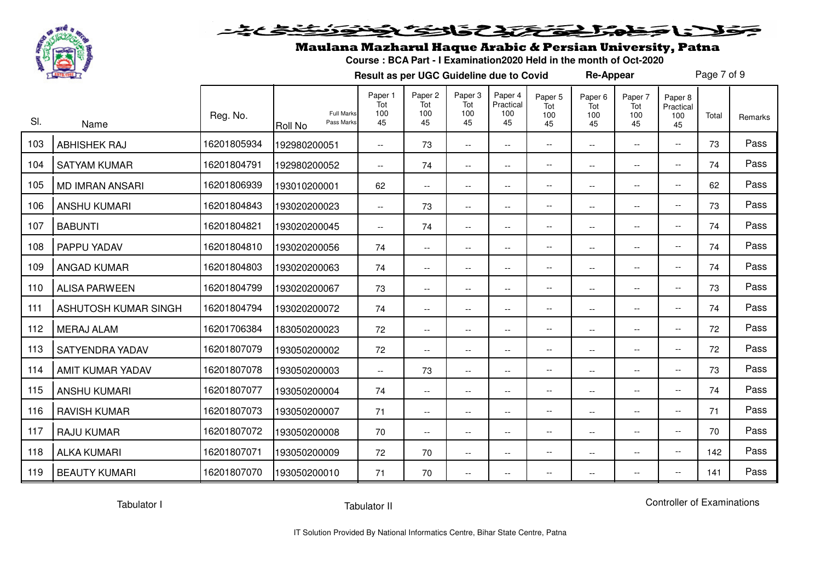

# فلانا وفاشك فتحتذف فالتك فضوئ فنفتح عبثة

### Maulana Mazharul Haque Arabic & Persian University, Patna

**Course : BCA Part - I Examination2020 Held in the month of Oct-2020**

**Result as per UGC Guideline due to Covid**

Page 7 of 9

**Re-Appear**

| SI. | Name                   | Reg. No.    | <b>Roll No</b> | <b>Full Marks</b><br>Pass Marks | Paper 1<br>Tot<br>100<br>45 | Paper 2<br>Tot<br>100<br>45 | Paper 3<br>Tot<br>100<br>45 | Paper 4<br>Practical<br>100<br>45 | Paper 5<br>Tot<br>100<br>45                         | Paper 6<br>Tot<br>100<br>45 | Paper 7<br>Tot<br>100<br>45 | Paper 8<br>Practical<br>100<br>45 | Total | Remarks |
|-----|------------------------|-------------|----------------|---------------------------------|-----------------------------|-----------------------------|-----------------------------|-----------------------------------|-----------------------------------------------------|-----------------------------|-----------------------------|-----------------------------------|-------|---------|
| 103 | <b>ABHISHEK RAJ</b>    | 16201805934 | 192980200051   |                                 | $- -$                       | 73                          | $\overline{\phantom{a}}$    | $\overline{\phantom{a}}$          | $\overline{\phantom{a}}$                            | $\overline{\phantom{a}}$    | $\overline{\phantom{a}}$    | $- -$                             | 73    | Pass    |
| 104 | <b>SATYAM KUMAR</b>    | 16201804791 | 192980200052   |                                 | $\overline{\phantom{a}}$    | 74                          | $\overline{\phantom{a}}$    | $\overline{\phantom{a}}$          | $\overline{\phantom{a}}$                            | $\overline{\phantom{a}}$    | $\overline{\phantom{a}}$    | $\overline{\phantom{a}}$          | 74    | Pass    |
| 105 | <b>MD IMRAN ANSARI</b> | 16201806939 | 193010200001   |                                 | 62                          | $-$                         | $\overline{\phantom{a}}$    | $\overline{\phantom{a}}$          | $\overline{\phantom{a}}$                            | $\overline{\phantom{a}}$    | $\overline{\phantom{a}}$    | $- -$                             | 62    | Pass    |
| 106 | <b>ANSHU KUMARI</b>    | 16201804843 | 193020200023   |                                 | $- -$                       | 73                          | $- -$                       | $\overline{\phantom{a}}$          | $\hspace{0.05cm} \ldots$                            | $\overline{\phantom{a}}$    | $\overline{\phantom{a}}$    | $\overline{\phantom{a}}$          | 73    | Pass    |
| 107 | <b>BABUNTI</b>         | 16201804821 | 193020200045   |                                 | $\overline{\phantom{a}}$    | 74                          | $\overline{\phantom{m}}$    | $\overline{\phantom{a}}$          | $\overline{\phantom{a}}$                            | $\overline{\phantom{a}}$    | $\overline{\phantom{a}}$    | $\overline{\phantom{a}}$          | 74    | Pass    |
| 108 | PAPPU YADAV            | 16201804810 | 193020200056   |                                 | 74                          | $\overline{\phantom{a}}$    | $\overline{\phantom{a}}$    | $\overline{\phantom{a}}$          | $\hspace{0.05cm} \ldots$                            | $\overline{\phantom{a}}$    | $\overline{\phantom{a}}$    | $\overline{\phantom{a}}$          | 74    | Pass    |
| 109 | <b>ANGAD KUMAR</b>     | 16201804803 | 193020200063   |                                 | 74                          | --                          | $\overline{\phantom{a}}$    | $\overline{\phantom{a}}$          | $\hspace{0.05cm} \ldots$                            | $\overline{\phantom{a}}$    | $\overline{\phantom{a}}$    | $\overline{\phantom{a}}$          | 74    | Pass    |
| 110 | <b>ALISA PARWEEN</b>   | 16201804799 | 193020200067   |                                 | 73                          | $-$                         | $-$                         | $\overline{\phantom{a}}$          | $\overline{\phantom{a}}$                            | $\overline{\phantom{a}}$    | $\overline{\phantom{a}}$    | $\overline{\phantom{a}}$          | 73    | Pass    |
| 111 | ASHUTOSH KUMAR SINGH   | 16201804794 | 193020200072   |                                 | 74                          | $\overline{\phantom{a}}$    | $\overline{\phantom{a}}$    | $\overline{\phantom{a}}$          | $\hspace{0.05cm} \ldots$                            | $\overline{\phantom{a}}$    | $\overline{\phantom{a}}$    | $\overline{\phantom{a}}$          | 74    | Pass    |
| 112 | <b>MERAJ ALAM</b>      | 16201706384 | 183050200023   |                                 | 72                          | $-$                         | $\overline{\phantom{a}}$    | $\overline{\phantom{a}}$          | $\overline{\phantom{a}}$                            | $\overline{\phantom{a}}$    | $\overline{\phantom{a}}$    | $\overline{\phantom{a}}$          | 72    | Pass    |
| 113 | SATYENDRA YADAV        | 16201807079 | 193050200002   |                                 | 72                          | $\overline{\phantom{a}}$    | $\overline{\phantom{a}}$    | $\overline{\phantom{a}}$          | $\overline{\phantom{a}}$                            | $\overline{\phantom{a}}$    | $\overline{\phantom{a}}$    | $\overline{\phantom{a}}$          | 72    | Pass    |
| 114 | AMIT KUMAR YADAV       | 16201807078 | 193050200003   |                                 | $\overline{\phantom{a}}$    | 73                          | $\overline{\phantom{a}}$    | $\overline{\phantom{a}}$          | $\overline{\phantom{a}}$                            | $\overline{\phantom{a}}$    | $\overline{\phantom{a}}$    | $\overline{\phantom{a}}$          | 73    | Pass    |
| 115 | <b>ANSHU KUMARI</b>    | 16201807077 | 193050200004   |                                 | 74                          | $-$                         | $\overline{\phantom{a}}$    | $\overline{\phantom{a}}$          | $\overline{\phantom{a}}$                            | $\overline{\phantom{a}}$    | $\overline{\phantom{a}}$    | $\overline{\phantom{a}}$          | 74    | Pass    |
| 116 | <b>RAVISH KUMAR</b>    | 16201807073 | 193050200007   |                                 | 71                          | $-$                         | $\overline{\phantom{a}}$    | $\overline{\phantom{a}}$          | $\hspace{0.05cm} -\hspace{0.05cm} -\hspace{0.05cm}$ | $\overline{\phantom{a}}$    | $\overline{\phantom{a}}$    | $\overline{\phantom{a}}$          | 71    | Pass    |
| 117 | <b>RAJU KUMAR</b>      | 16201807072 | 193050200008   |                                 | 70                          | $-$                         | $\overline{\phantom{a}}$    | $\overline{\phantom{a}}$          | $\overline{\phantom{a}}$                            | $\overline{\phantom{a}}$    | $\overline{\phantom{a}}$    | $\overline{\phantom{a}}$          | 70    | Pass    |
| 118 | <b>ALKA KUMARI</b>     | 16201807071 | 193050200009   |                                 | 72                          | 70                          | $\overline{\phantom{a}}$    | $\overline{\phantom{a}}$          | $\hspace{0.05cm} \ldots$                            | $\overline{\phantom{a}}$    | $\overline{\phantom{a}}$    | $\overline{\phantom{a}}$          | 142   | Pass    |
| 119 | <b>BEAUTY KUMARI</b>   | 16201807070 | 193050200010   |                                 | 71                          | 70                          | $\overline{\phantom{a}}$    | $\overline{\phantom{a}}$          | $\overline{\phantom{m}}$                            | $\overline{\phantom{a}}$    | $\overline{\phantom{a}}$    | $\overline{\phantom{a}}$          | 141   | Pass    |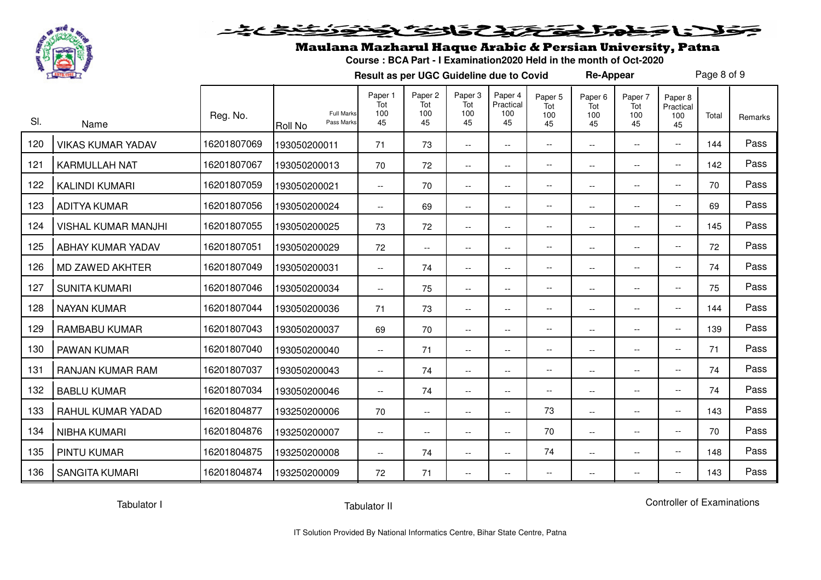

#### <u>متنظیم به</u> فلأناحفه المقتع تذافف فخف

## Maulana Mazharul Haque Arabic & Persian University, Patna

**Course : BCA Part - I Examination2020 Held in the month of Oct-2020**

**Result as per UGC Guideline due to Covid**

Page 8 of 9

**Re-Appear**

| SI. | Name                       | Reg. No.    | <b>Roll No</b> | <b>Full Marks</b><br>Pass Marks | Paper 1<br>Tot<br>100<br>45 | Paper 2<br>Tot<br>100<br>45 | Paper 3<br>Tot<br>100<br>45 | Paper 4<br>Practical<br>100<br>45 | Paper 5<br>Tot<br>100<br>45 | Paper 6<br>Tot<br>100<br>45 | Paper 7<br>Tot<br>100<br>45 | Paper 8<br>Practical<br>100<br>45 | Total | Remarks |
|-----|----------------------------|-------------|----------------|---------------------------------|-----------------------------|-----------------------------|-----------------------------|-----------------------------------|-----------------------------|-----------------------------|-----------------------------|-----------------------------------|-------|---------|
| 120 | <b>VIKAS KUMAR YADAV</b>   | 16201807069 | 193050200011   |                                 | 71                          | 73                          | $\overline{\phantom{a}}$    | $\overline{\phantom{a}}$          | $\overline{\phantom{a}}$    | $\overline{\phantom{a}}$    | $\overline{\phantom{a}}$    | $\overline{\phantom{a}}$          | 144   | Pass    |
| 121 | <b>KARMULLAH NAT</b>       | 16201807067 | 193050200013   |                                 | 70                          | 72                          | $\overline{\phantom{a}}$    | --                                | $\overline{\phantom{a}}$    | $\overline{\phantom{a}}$    | $--$                        | $\overline{\phantom{a}}$          | 142   | Pass    |
| 122 | <b>KALINDI KUMARI</b>      | 16201807059 | 193050200021   |                                 | $\overline{\phantom{a}}$    | 70                          | $\overline{\phantom{a}}$    | --                                | $\overline{\phantom{a}}$    | $\overline{\phantom{a}}$    | $\overline{\phantom{a}}$    | $- -$                             | 70    | Pass    |
| 123 | <b>ADITYA KUMAR</b>        | 16201807056 | 193050200024   |                                 | $\overline{\phantom{a}}$    | 69                          | $\overline{\phantom{a}}$    | $-$                               | $\overline{a}$              | $\overline{\phantom{a}}$    | $\overline{\phantom{a}}$    | $-$                               | 69    | Pass    |
| 124 | <b>VISHAL KUMAR MANJHI</b> | 16201807055 | 193050200025   |                                 | 73                          | 72                          | $\overline{\phantom{a}}$    | $\overline{\phantom{a}}$          | $\overline{\phantom{a}}$    | $\overline{\phantom{a}}$    | $ -$                        | $\overline{\phantom{a}}$          | 145   | Pass    |
| 125 | ABHAY KUMAR YADAV          | 16201807051 | 193050200029   |                                 | 72                          | $\overline{\phantom{a}}$    | $\overline{\phantom{a}}$    | --                                | $\overline{\phantom{a}}$    | $\overline{\phantom{a}}$    | $\overline{\phantom{a}}$    | $\overline{\phantom{a}}$          | 72    | Pass    |
| 126 | MD ZAWED AKHTER            | 16201807049 | 193050200031   |                                 | $\overline{\phantom{a}}$    | 74                          | $\overline{\phantom{a}}$    | $\overline{\phantom{a}}$          | $\overline{\phantom{a}}$    | $\overline{\phantom{a}}$    | $\overline{\phantom{a}}$    | $\overline{\phantom{a}}$          | 74    | Pass    |
| 127 | <b>SUNITA KUMARI</b>       | 16201807046 | 193050200034   |                                 | $\overline{\phantom{a}}$    | 75                          | $\overline{\phantom{a}}$    | $\overline{\phantom{a}}$          | $\overline{\phantom{a}}$    | $\overline{\phantom{a}}$    | $\overline{\phantom{a}}$    | $\overline{\phantom{a}}$          | 75    | Pass    |
| 128 | <b>NAYAN KUMAR</b>         | 16201807044 | 193050200036   |                                 | 71                          | 73                          | $\overline{\phantom{a}}$    | --                                | $\overline{\phantom{a}}$    | $-\,-$                      | $--$                        | $- -$                             | 144   | Pass    |
| 129 | <b>RAMBABU KUMAR</b>       | 16201807043 | 193050200037   |                                 | 69                          | 70                          | $\overline{\phantom{a}}$    | $\overline{\phantom{a}}$          | $\overline{\phantom{a}}$    | $\overline{\phantom{a}}$    | $- -$                       | $\overline{\phantom{a}}$          | 139   | Pass    |
| 130 | PAWAN KUMAR                | 16201807040 | 193050200040   |                                 | $\overline{\phantom{a}}$    | 71                          | $\overline{\phantom{a}}$    | $\qquad \qquad -$                 | $\overline{\phantom{a}}$    | $\overline{\phantom{a}}$    | $-$                         | $- -$                             | 71    | Pass    |
| 131 | RANJAN KUMAR RAM           | 16201807037 | 193050200043   |                                 | $\overline{\phantom{a}}$    | 74                          | $\overline{\phantom{a}}$    | $\overline{\phantom{a}}$          | $-\,-$                      | $\overline{\phantom{a}}$    | $\overline{\phantom{a}}$    | $\overline{\phantom{a}}$          | 74    | Pass    |
| 132 | <b>BABLU KUMAR</b>         | 16201807034 | 193050200046   |                                 | $\overline{\phantom{a}}$    | 74                          | $\overline{\phantom{a}}$    | $-$                               | $\overline{\phantom{a}}$    | $\overline{\phantom{a}}$    | $\overline{\phantom{a}}$    | $\overline{\phantom{a}}$          | 74    | Pass    |
| 133 | RAHUL KUMAR YADAD          | 16201804877 | 193250200006   |                                 | 70                          | $- -$                       | $\hspace{0.05cm} \ldots$    | --                                | 73                          | $\overline{\phantom{a}}$    | $\overline{\phantom{a}}$    | $- -$                             | 143   | Pass    |
| 134 | NIBHA KUMARI               | 16201804876 | 193250200007   |                                 | $\overline{\phantom{a}}$    | $- -$                       | $\overline{\phantom{a}}$    | $- -$                             | 70                          | $\overline{\phantom{a}}$    | $\overline{\phantom{a}}$    | $\overline{\phantom{a}}$          | 70    | Pass    |
| 135 | <b>PINTU KUMAR</b>         | 16201804875 | 193250200008   |                                 | $\overline{\phantom{a}}$    | 74                          | $\overline{\phantom{a}}$    | $\overline{\phantom{a}}$          | 74                          | $\overline{\phantom{a}}$    | $\overline{\phantom{a}}$    | $\overline{\phantom{a}}$          | 148   | Pass    |
| 136 | <b>SANGITA KUMARI</b>      | 16201804874 | 193250200009   |                                 | 72                          | 71                          | $\overline{\phantom{a}}$    | $\overline{\phantom{a}}$          | $\overline{\phantom{m}}$    | $\overline{\phantom{a}}$    | $- -$                       | --                                | 143   | Pass    |